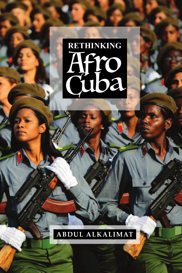

## ABDUL ALKALIMAT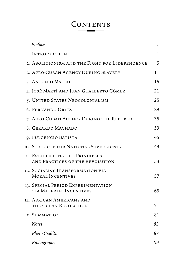## CONTENTS

| Preface                                                              | ν  |
|----------------------------------------------------------------------|----|
| INTRODUCTION                                                         | 1  |
| 1. ABOLITIONISM AND THE FIGHT FOR INDEPENDENCE                       | 5  |
| 2. AFRO-CUBAN AGENCY DURING SLAVERY                                  | 11 |
| 3. ANTONIO MACEO                                                     | 15 |
| 4. JOSÉ MARTÍ AND JUAN GUALBERTO GÓMEZ                               | 21 |
| 5. UNITED STATES NEOCOLONIALISM                                      | 25 |
| 6. FERNANDO ORTIZ                                                    | 29 |
| 7. AFRO-CUBAN AGENCY DURING THE REPUBLIC                             | 35 |
| 8. GERARDO MACHADO                                                   | 39 |
| 9. FULGENCIO BATISTA                                                 | 45 |
| 10. Struggle for National Sovereignty                                | 49 |
| 11. ESTABLISHING THE PRINCIPLES<br>AND PRACTICES OF THE REVOLUTION   | 53 |
| 12. SOCIALIST TRANSFORMATION VIA<br><b>MORAL INCENTIVES</b>          | 57 |
| 13. SPECIAL PERIOD EXPERIMENTATION<br><b>VIA MATERIAL INCENTIVES</b> | 65 |
| 14. AFRICAN AMERICANS AND<br>THE CUBAN REVOLUTION                    | 71 |
| 15. SUMMATION                                                        | 81 |
| <b>Notes</b>                                                         | 83 |
| <b>Photo Credits</b>                                                 | 87 |
| Bibliography                                                         | 89 |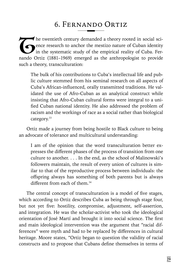## 6. Fernando Ortiz

The twentieth century demanded a theory rooted in social sci-<br>The research to anchor the mestizo nature of Cuban identity<br>in the systematic study of the empirical reality of Cuba. Fer-<br>nando Ortiz (1881–1969) emerged as th ence research to anchor the mestizo nature of Cuban identity in the systematic study of the empirical reality of Cuba. Fernando Ortiz (1881–1969) emerged as the anthropologist to provide such a theory, transculturation:

The bulk of his contributions to Cuba's intellectual life and public culture stemmed from his seminal research on all aspects of Cuba's African-influenced, orally transmitted traditions. He validated the use of Afro-Cuban as an analytical construct while insisting that Afro-Cuban cultural forms were integral to a unified Cuban national identity. He also addressed the problem of racism and the workings of race as a social rather than biological category.<sup>33</sup>

Ortiz made a journey from being hostile to Black culture to being an advocate of tolerance and multicultural understanding:

I am of the opinion that the word transculturation better expresses the different phases of the process of transition from one culture to another. . . . In the end, as the school of Malinowski's followers maintain, the result of every union of cultures is similar to that of the reproductive process between individuals: the offspring always has something of both parents but is always different from each of them.<sup>34</sup>

The central concept of transculturation is a model of five stages, which according to Ortiz describes Cuba as being through stage four, but not yet five: hostility, compromise, adjustment, self-assertion, and integration. He was the scholar-activist who took the ideological orientation of José Martí and brought it into social science. The first and main ideological intervention was the argument that "racial differences" were myth and had to be replaced by differences in cultural heritage. Moore states, "Ortiz began to question the validity of racial constructs and to propose that Cubans define themselves in terms of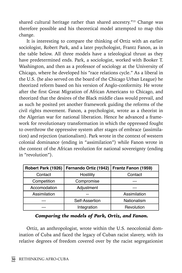shared cultural heritage rather than shared ancestry."<sup>35</sup> Change was therefore possible and his theoretical model attempted to map this change.

It is interesting to compare the thinking of Ortiz with an earlier sociologist, Robert Park, and a later psychologist, Frantz Fanon, as in the table below. All three models have a teleological thrust as they have predetermined ends. Park, a sociologist, worked with Booker T. Washington, and then as a professor of sociology at the University of Chicago, where he developed his "race relations cycle." As a liberal in the U.S. (he also served on the board of the Chicago Urban League) he theorized reform based on his version of Anglo-conformity. He wrote after the first Great Migration of African Americans to Chicago, and theorized that the desires of the Black middle class would prevail, and as such he posited yet another framework guiding the reforms of the civil rights movement. Fanon, a psychologist, wrote as a theorist in the Algerian war for national liberation. Hence he advanced a framework for revolutionary transformation in which the oppressed fought to overthrow the oppressive system after stages of embrace (assimilation) and rejection (nationalism). Park wrote in the context of western colonial dominance (ending in "assimilation") while Fanon wrote in the context of the African revolution for national sovereignty (ending in "revolution").

| Robert Park (1926) | Fernando Ortiz (1942) | Frantz Fanon (1959) |
|--------------------|-----------------------|---------------------|
| Contact            | Hostility             | Contact             |
| Competition        | Compromise            |                     |
| Accomodation       | Adjustment            |                     |
| Assimilation       |                       | Assimilation        |
|                    | Self-Assertion        | Nationalism         |
|                    | Integration           | Revolution          |

 *Comparing the models of Park, Ortiz, and Fanon.*

Ortiz, an anthropologist, wrote within the U.S. neocolonial domination of Cuba and faced the legacy of Cuban racist slavery, with its relative degrees of freedom covered over by the racist segregationist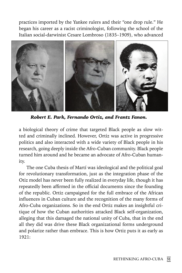practices imported by the Yankee rulers and their "one drop rule." He began his career as a racist criminologist, following the school of the Italian social-darwinist Cesare Lombroso (1835–1909), who advanced



*Robert E. Park, Fernando Ortiz, and Frantz Fanon.*

a biological theory of crime that targeted Black people as slow witted and criminally inclined. However, Ortiz was active in progressive politics and also interacted with a wide variety of Black people in his research, going deeply inside the Afro-Cuban community. Black people turned him around and he became an advocate of Afro-Cuban humanity.

The one Cuba thesis of Martí was ideological and the political goal for revolutionary transformation, just as the integration phase of the Otiz model has never been fully realized in everyday life, though it has repeatedly been affirmed in the official documents since the founding of the republic. Ortiz campaigned for the full embrace of the African influences in Cuban culture and the recognition of the many forms of Afro-Cuba organizations. So in the end Ortiz makes an insightful critique of how the Cuban authorities attacked Black self-organization, alleging that this damaged the national unity of Cuba, that in the end all they did was drive these Black organizational forms underground and polarize rather than embrace. This is how Ortiz puts it as early as 1921: